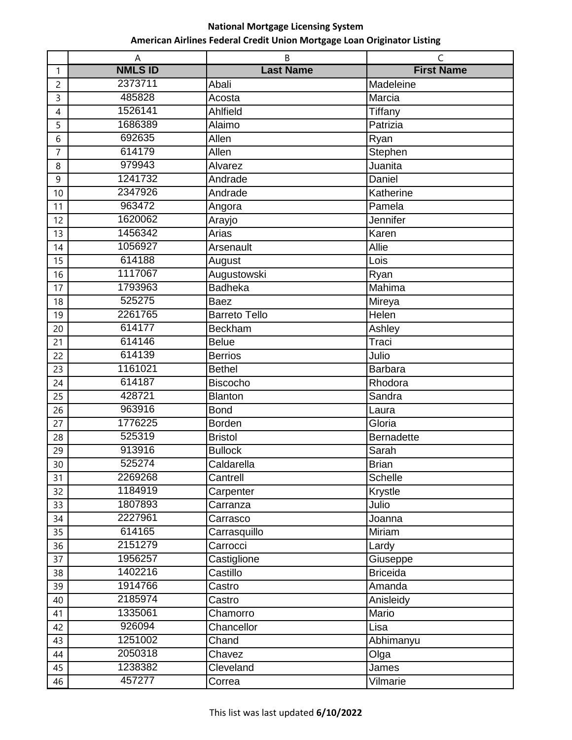|                | A              | B                    | $\mathsf{C}$      |
|----------------|----------------|----------------------|-------------------|
| $\mathbf{1}$   | <b>NMLS ID</b> | <b>Last Name</b>     | <b>First Name</b> |
| $\overline{c}$ | 2373711        | Abali                | Madeleine         |
| 3              | 485828         | Acosta               | Marcia            |
| 4              | 1526141        | Ahlfield             | Tiffany           |
| 5              | 1686389        | Alaimo               | Patrizia          |
| 6              | 692635         | Allen                | Ryan              |
| $\overline{7}$ | 614179         | Allen                | Stephen           |
| 8              | 979943         | Alvarez              | Juanita           |
| 9              | 1241732        | Andrade              | Daniel            |
| 10             | 2347926        | Andrade              | Katherine         |
| 11             | 963472         | Angora               | Pamela            |
| 12             | 1620062        | Arayjo               | Jennifer          |
| 13             | 1456342        | Arias                | Karen             |
| 14             | 1056927        | Arsenault            | <b>Allie</b>      |
| 15             | 614188         | August               | Lois              |
| 16             | 1117067        | Augustowski          | Ryan              |
| 17             | 1793963        | <b>Badheka</b>       | Mahima            |
| 18             | 525275         | <b>Baez</b>          | Mireya            |
| 19             | 2261765        | <b>Barreto Tello</b> | Helen             |
| 20             | 614177         | <b>Beckham</b>       | Ashley            |
| 21             | 614146         | <b>Belue</b>         | Traci             |
| 22             | 614139         | <b>Berrios</b>       | Julio             |
| 23             | 1161021        | <b>Bethel</b>        | <b>Barbara</b>    |
| 24             | 614187         | <b>Biscocho</b>      | Rhodora           |
| 25             | 428721         | <b>Blanton</b>       | Sandra            |
| 26             | 963916         | <b>Bond</b>          | Laura             |
| 27             | 1776225        | <b>Borden</b>        | Gloria            |
| 28             | 525319         | <b>Bristol</b>       | Bernadette        |
| 29             | 913916         | <b>Bullock</b>       | Sarah             |
| 30             | 525274         | Caldarella           | <b>Brian</b>      |
| 31             | 2269268        | Cantrell             | Schelle           |
| 32             | 1184919        | Carpenter            | Krystle           |
| 33             | 1807893        | Carranza             | Julio             |
| 34             | 2227961        | Carrasco             | Joanna            |
| 35             | 614165         | Carrasquillo         | Miriam            |
| 36             | 2151279        | Carrocci             | Lardy             |
| 37             | 1956257        | Castiglione          | Giuseppe          |
| 38             | 1402216        | Castillo             | <b>Briceida</b>   |
| 39             | 1914766        | Castro               | Amanda            |
| 40             | 2185974        | Castro               | Anisleidy         |
| 41             | 1335061        | Chamorro             | Mario             |
| 42             | 926094         | Chancellor           | Lisa              |
| 43             | 1251002        | Chand                | Abhimanyu         |
| 44             | 2050318        | Chavez               | Olga              |
| 45             | 1238382        | Cleveland            | James             |
| 46             | 457277         | Correa               | Vilmarie          |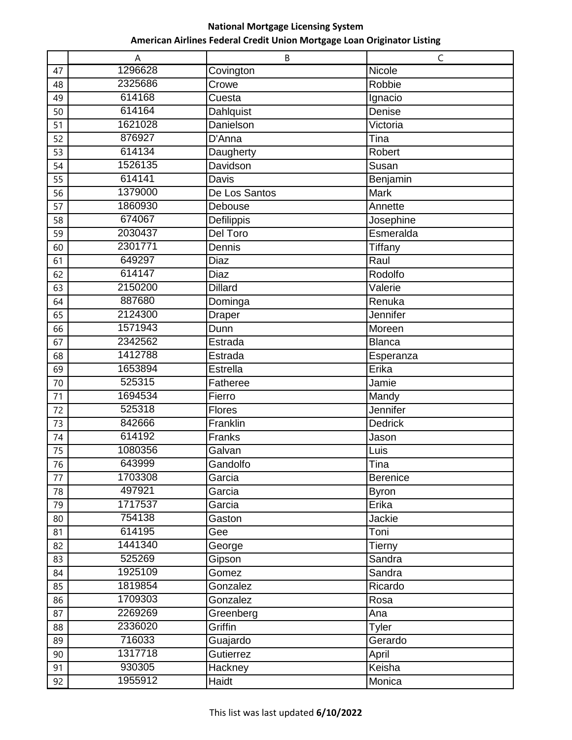|    | Α       | B              | C              |
|----|---------|----------------|----------------|
| 47 | 1296628 | Covington      | Nicole         |
| 48 | 2325686 | Crowe          | Robbie         |
| 49 | 614168  | Cuesta         | Ignacio        |
| 50 | 614164  | Dahlquist      | Denise         |
| 51 | 1621028 | Danielson      | Victoria       |
| 52 | 876927  | D'Anna         | Tina           |
| 53 | 614134  | Daugherty      | Robert         |
| 54 | 1526135 | Davidson       | Susan          |
| 55 | 614141  | Davis          | Benjamin       |
| 56 | 1379000 | De Los Santos  | Mark           |
| 57 | 1860930 | Debouse        | Annette        |
| 58 | 674067  | Defilippis     | Josephine      |
| 59 | 2030437 | Del Toro       | Esmeralda      |
| 60 | 2301771 | Dennis         | Tiffany        |
| 61 | 649297  | Diaz           | Raul           |
| 62 | 614147  | Diaz           | Rodolfo        |
| 63 | 2150200 | <b>Dillard</b> | Valerie        |
| 64 | 887680  | Dominga        | Renuka         |
| 65 | 2124300 | Draper         | Jennifer       |
| 66 | 1571943 | Dunn           | Moreen         |
| 67 | 2342562 | Estrada        | Blanca         |
| 68 | 1412788 | Estrada        | Esperanza      |
| 69 | 1653894 | Estrella       | Erika          |
| 70 | 525315  | Fatheree       | Jamie          |
| 71 | 1694534 | Fierro         | Mandy          |
| 72 | 525318  | <b>Flores</b>  | Jennifer       |
| 73 | 842666  | Franklin       | <b>Dedrick</b> |
| 74 | 614192  | Franks         | Jason          |
| 75 | 1080356 | Galvan         | Luis           |
| 76 | 643999  | Gandolfo       | Tina           |
| 77 | 1703308 | Garcia         | Berenice       |
| 78 | 497921  | Garcia         | <b>Byron</b>   |
| 79 | 1717537 | Garcia         | Erika          |
| 80 | 754138  | Gaston         | Jackie         |
| 81 | 614195  | Gee            | Toni           |
| 82 | 1441340 | George         | Tierny         |
| 83 | 525269  | Gipson         | Sandra         |
| 84 | 1925109 | Gomez          | Sandra         |
| 85 | 1819854 | Gonzalez       | Ricardo        |
| 86 | 1709303 | Gonzalez       | Rosa           |
| 87 | 2269269 | Greenberg      | Ana            |
| 88 | 2336020 | Griffin        | <b>Tyler</b>   |
| 89 | 716033  | Guajardo       | Gerardo        |
| 90 | 1317718 | Gutierrez      | April          |
| 91 | 930305  | Hackney        | Keisha         |
| 92 | 1955912 | Haidt          | Monica         |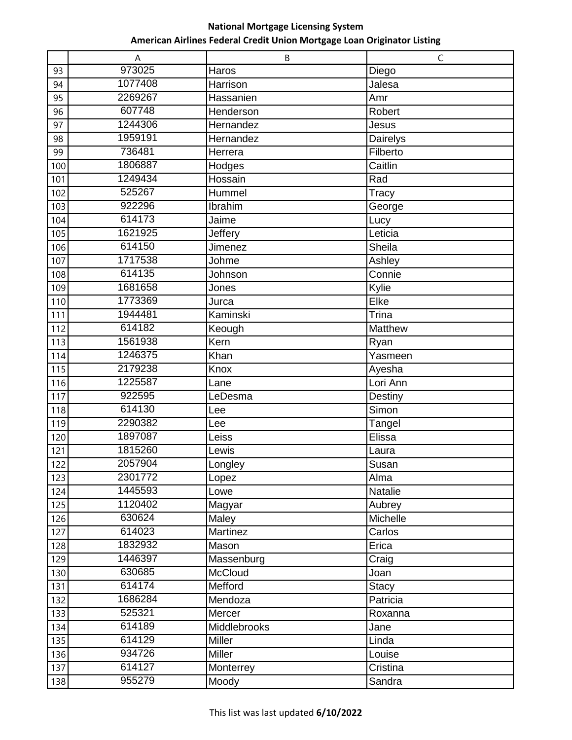|            | A                 | B                      | $\mathsf C$        |
|------------|-------------------|------------------------|--------------------|
| 93         | 973025            | Haros                  | Diego              |
| 94         | 1077408           | Harrison               | Jalesa             |
| 95         | 2269267           | Hassanien              | Amr                |
| 96         | 607748            | Henderson              | Robert             |
| 97         | 1244306           | Hernandez              | Jesus              |
| 98         | 1959191           | Hernandez              | Dairelys           |
| 99         | 736481            | Herrera                | Filberto           |
| 100        | 1806887           | Hodges                 | Caitlin            |
| 101        | 1249434           | Hossain                | Rad                |
| 102        | 525267            | Hummel                 | <b>Tracy</b>       |
| 103        | 922296            | Ibrahim                | George             |
| 104        | 614173            | Jaime                  | Lucy               |
| 105        | 1621925           | Jeffery                | Leticia            |
| 106        | 614150            | Jimenez                | Sheila             |
| 107        | 1717538           | Johme                  | Ashley             |
| 108        | 614135            | Johnson                | Connie             |
| 109        | 1681658           | Jones                  | Kylie              |
| 110        | 1773369           | Jurca                  | Elke               |
| 111        | 1944481           | Kaminski               | Trina              |
| 112        | 614182            | Keough                 | <b>Matthew</b>     |
| 113        | 1561938           | Kern                   | Ryan               |
| 114        | 1246375           | Khan                   | Yasmeen            |
| 115        | 2179238           | Knox                   | Ayesha             |
| 116        | 1225587           | Lane                   | Lori Ann           |
| 117        | 922595            | LeDesma                | Destiny            |
| 118        | 614130            | Lee                    | Simon              |
| 119        | 2290382           | Lee                    | Tangel             |
| 120        | 1897087           | Leiss                  | Elissa             |
| 121        | 1815260           | Lewis                  | Laura              |
| 122        | 2057904           | Longley                | Susan              |
| 123        | 2301772           | Lopez                  | Alma               |
| 124        | 1445593           | Lowe                   | Natalie            |
| 125        | 1120402           | Magyar                 | Aubrey             |
| 126        | 630624            | Maley                  | Michelle           |
| 127        | 614023            | Martinez               | Carlos             |
| 128        | 1832932           | Mason                  | Erica              |
| 129        | 1446397<br>630685 | Massenburg<br>McCloud  | Craig              |
| 130        | 614174            |                        | Joan               |
| 131        | 1686284           | Mefford                | <b>Stacy</b>       |
| 132        | 525321            | Mendoza                | Patricia           |
| 133        | 614189            | Mercer<br>Middlebrooks | Roxanna            |
| 134        | 614129            |                        | Jane               |
| 135        | 934726            | Miller<br>Miller       | Linda              |
| 136<br>137 | 614127            |                        | Louise<br>Cristina |
|            | 955279            | Monterrey              |                    |
| 138        |                   | Moody                  | Sandra             |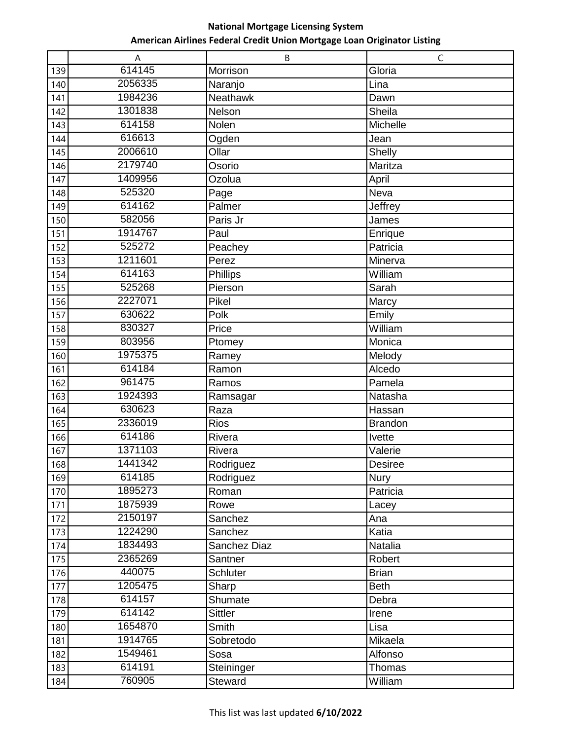|     | Α       | B               | $\mathsf C$    |
|-----|---------|-----------------|----------------|
| 139 | 614145  | Morrison        | Gloria         |
| 140 | 2056335 | Naranjo         | Lina           |
| 141 | 1984236 | Neathawk        | Dawn           |
| 142 | 1301838 | Nelson          | Sheila         |
| 143 | 614158  | Nolen           | Michelle       |
| 144 | 616613  | Ogden           | Jean           |
| 145 | 2006610 | Ollar           | Shelly         |
| 146 | 2179740 | Osorio          | Maritza        |
| 147 | 1409956 | Ozolua          | April          |
| 148 | 525320  | Page            | Neva           |
| 149 | 614162  | Palmer          | Jeffrey        |
| 150 | 582056  | Paris Jr        | James          |
| 151 | 1914767 | Paul            | Enrique        |
| 152 | 525272  | Peachey         | Patricia       |
| 153 | 1211601 | Perez           | Minerva        |
| 154 | 614163  | Phillips        | William        |
| 155 | 525268  | Pierson         | Sarah          |
| 156 | 2227071 | Pikel           | Marcy          |
| 157 | 630622  | Polk            | Emily          |
| 158 | 830327  | Price           | William        |
| 159 | 803956  | Ptomey          | Monica         |
| 160 | 1975375 | Ramey           | Melody         |
| 161 | 614184  | Ramon           | Alcedo         |
| 162 | 961475  | Ramos           | Pamela         |
| 163 | 1924393 | Ramsagar        | Natasha        |
| 164 | 630623  | Raza            | Hassan         |
| 165 | 2336019 | <b>Rios</b>     | <b>Brandon</b> |
| 166 | 614186  | Rivera          | Ivette         |
| 167 | 1371103 | Rivera          | Valerie        |
| 168 | 1441342 | Rodriguez       | <b>Desiree</b> |
| 169 | 614185  | Rodriguez       | Nury           |
| 170 | 1895273 | Roman           | Patricia       |
| 171 | 1875939 | Rowe            | Lacey          |
| 172 | 2150197 | Sanchez         | Ana            |
| 173 | 1224290 | Sanchez         | Katia          |
| 174 | 1834493 | Sanchez Diaz    | Natalia        |
| 175 | 2365269 | Santner         | Robert         |
| 176 | 440075  | <b>Schluter</b> | <b>Brian</b>   |
| 177 | 1205475 | Sharp           | <b>Beth</b>    |
| 178 | 614157  | Shumate         | Debra          |
| 179 | 614142  | Sittler         | Irene          |
| 180 | 1654870 | Smith           | Lisa           |
| 181 | 1914765 | Sobretodo       | Mikaela        |
| 182 | 1549461 | Sosa            | Alfonso        |
| 183 | 614191  | Steininger      | Thomas         |
| 184 | 760905  | Steward         | William        |